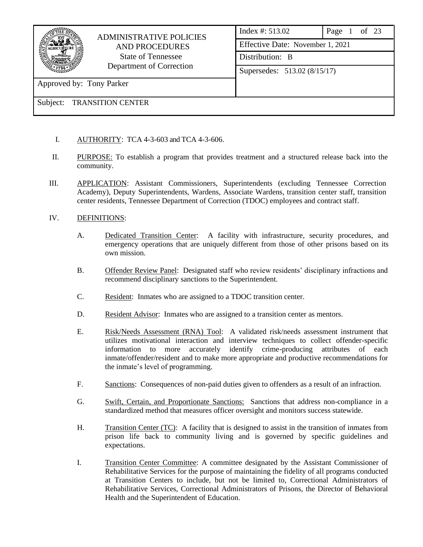

## ADMINISTRATIVE POLICIES AND PROCEDURES State of Tennessee Department of Correction

Index #: 513.02 Page 1 of 23 Effective Date: November 1, 2021 Distribution: B Supersedes: 513.02 (8/15/17)

Approved by: Tony Parker

- I. AUTHORITY: TCA 4-3-603 and TCA 4-3-606.
- II. PURPOSE: To establish a program that provides treatment and a structured release back into the community.
- III. APPLICATION: Assistant Commissioners, Superintendents (excluding Tennessee Correction Academy), Deputy Superintendents, Wardens, Associate Wardens, transition center staff, transition center residents, Tennessee Department of Correction (TDOC) employees and contract staff.
- IV. DEFINITIONS:
	- A. Dedicated Transition Center: A facility with infrastructure, security procedures, and emergency operations that are uniquely different from those of other prisons based on its own mission.
	- B. Offender Review Panel: Designated staff who review residents' disciplinary infractions and recommend disciplinary sanctions to the Superintendent.
	- C. Resident: Inmates who are assigned to a TDOC transition center.
	- D. Resident Advisor: Inmates who are assigned to a transition center as mentors.
	- E. Risk/Needs Assessment (RNA) Tool: A validated risk/needs assessment instrument that utilizes motivational interaction and interview techniques to collect offender-specific information to more accurately identify crime-producing attributes of each inmate/offender/resident and to make more appropriate and productive recommendations for the inmate's level of programming.
	- F. Sanctions: Consequences of non-paid duties given to offenders as a result of an infraction.
	- G. Swift, Certain, and Proportionate Sanctions: Sanctions that address non-compliance in a standardized method that measures officer oversight and monitors success statewide.
	- H. Transition Center (TC): A facility that is designed to assist in the transition of inmates from prison life back to community living and is governed by specific guidelines and expectations.
	- I. Transition Center Committee: A committee designated by the Assistant Commissioner of Rehabilitative Services for the purpose of maintaining the fidelity of all programs conducted at Transition Centers to include, but not be limited to, Correctional Administrators of Rehabilitative Services, Correctional Administrators of Prisons, the Director of Behavioral Health and the Superintendent of Education.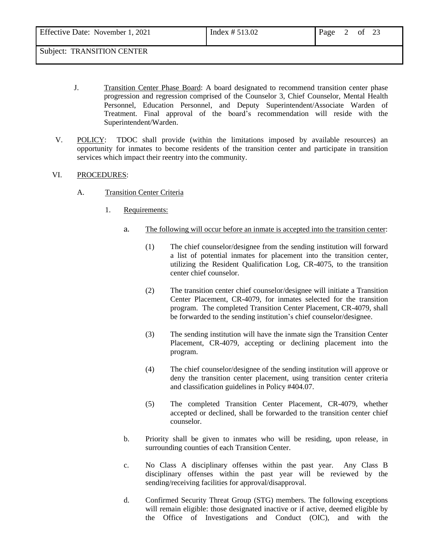| Effective Date: November 1, 2021 | Index $# 513.02$ | Page |  | ∠⊾ |  |
|----------------------------------|------------------|------|--|----|--|
|                                  |                  |      |  |    |  |

- Subject: TRANSITION CENTER
	- J. Transition Center Phase Board: A board designated to recommend transition center phase progression and regression comprised of the Counselor 3, Chief Counselor, Mental Health Personnel, Education Personnel, and Deputy Superintendent/Associate Warden of Treatment. Final approval of the board's recommendation will reside with the Superintendent/Warden.
	- V. POLICY: TDOC shall provide (within the limitations imposed by available resources) an opportunity for inmates to become residents of the transition center and participate in transition services which impact their reentry into the community.

#### VI. PROCEDURES:

- A. Transition Center Criteria
	- 1. Requirements:
		- a. The following will occur before an inmate is accepted into the transition center:
			- (1) The chief counselor/designee from the sending institution will forward a list of potential inmates for placement into the transition center, utilizing the Resident Qualification Log, CR-4075, to the transition center chief counselor.
			- (2) The transition center chief counselor/designee will initiate a Transition Center Placement, CR-4079, for inmates selected for the transition program. The completed Transition Center Placement, CR-4079, shall be forwarded to the sending institution's chief counselor/designee.
			- (3) The sending institution will have the inmate sign the Transition Center Placement, CR-4079, accepting or declining placement into the program.
			- (4) The chief counselor/designee of the sending institution will approve or deny the transition center placement, using transition center criteria and classification guidelines in Policy #404.07.
			- (5) The completed Transition Center Placement, CR-4079, whether accepted or declined, shall be forwarded to the transition center chief counselor.
		- b. Priority shall be given to inmates who will be residing, upon release, in surrounding counties of each Transition Center.
		- c. No Class A disciplinary offenses within the past year. Any Class B disciplinary offenses within the past year will be reviewed by the sending/receiving facilities for approval/disapproval.
		- d. Confirmed Security Threat Group (STG) members. The following exceptions will remain eligible: those designated inactive or if active, deemed eligible by the Office of Investigations and Conduct (OIC), and with the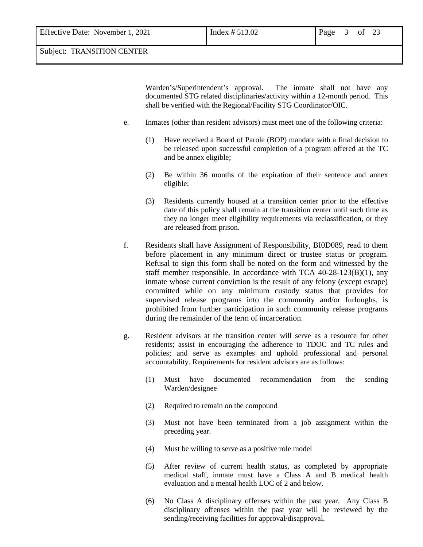Warden's/Superintendent's approval. The inmate shall not have any documented STG related disciplinaries/activity within a 12-month period. This shall be verified with the Regional/Facility STG Coordinator/OIC.

- e. Inmates (other than resident advisors) must meet one of the following criteria:
	- (1) Have received a Board of Parole (BOP) mandate with a final decision to be released upon successful completion of a program offered at the TC and be annex eligible;
	- (2) Be within 36 months of the expiration of their sentence and annex eligible;
	- (3) Residents currently housed at a transition center prior to the effective date of this policy shall remain at the transition center until such time as they no longer meet eligibility requirements via reclassification, or they are released from prison.
- f. Residents shall have Assignment of Responsibility, BI0D089, read to them before placement in any minimum direct or trustee status or program. Refusal to sign this form shall be noted on the form and witnessed by the staff member responsible. In accordance with TCA 40-28-123(B)(1), any inmate whose current conviction is the result of any felony (except escape) committed while on any minimum custody status that provides for supervised release programs into the community and/or furloughs, is prohibited from further participation in such community release programs during the remainder of the term of incarceration.
- g. Resident advisors at the transition center will serve as a resource for other residents; assist in encouraging the adherence to TDOC and TC rules and policies; and serve as examples and uphold professional and personal accountability. Requirements for resident advisors are as follows:
	- (1) Must have documented recommendation from the sending Warden/designee
	- (2) Required to remain on the compound
	- (3) Must not have been terminated from a job assignment within the preceding year.
	- (4) Must be willing to serve as a positive role model
	- (5) After review of current health status, as completed by appropriate medical staff, inmate must have a Class A and B medical health evaluation and a mental health LOC of 2 and below.
	- (6) No Class A disciplinary offenses within the past year. Any Class B disciplinary offenses within the past year will be reviewed by the sending/receiving facilities for approval/disapproval.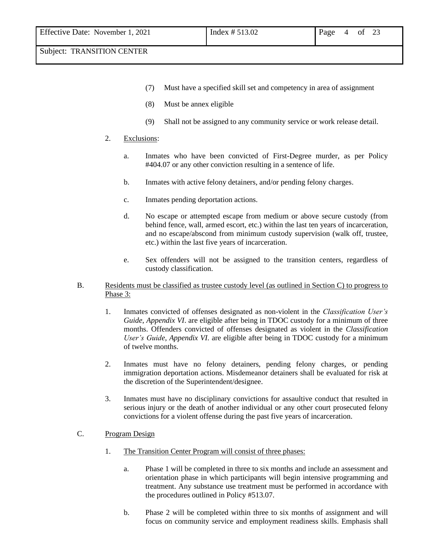- (7) Must have a specified skill set and competency in area of assignment
- (8) Must be annex eligible
- (9) Shall not be assigned to any community service or work release detail.

#### 2. Exclusions:

- a. Inmates who have been convicted of First-Degree murder, as per Policy #404.07 or any other conviction resulting in a sentence of life.
- b. Inmates with active felony detainers, and/or pending felony charges.
- c. Inmates pending deportation actions.
- d. No escape or attempted escape from medium or above secure custody (from behind fence, wall, armed escort, etc.) within the last ten years of incarceration, and no escape/abscond from minimum custody supervision (walk off, trustee, etc.) within the last five years of incarceration.
- e. Sex offenders will not be assigned to the transition centers, regardless of custody classification.
- B. Residents must be classified as trustee custody level (as outlined in Section C) to progress to Phase 3:
	- 1. Inmates convicted of offenses designated as non-violent in the *Classification User's Guide*, *Appendix VI*. are eligible after being in TDOC custody for a minimum of three months. Offenders convicted of offenses designated as violent in the *Classification User's Guide*, *Appendix VI*. are eligible after being in TDOC custody for a minimum of twelve months.
	- 2. Inmates must have no felony detainers, pending felony charges, or pending immigration deportation actions. Misdemeanor detainers shall be evaluated for risk at the discretion of the Superintendent/designee.
	- 3. Inmates must have no disciplinary convictions for assaultive conduct that resulted in serious injury or the death of another individual or any other court prosecuted felony convictions for a violent offense during the past five years of incarceration.

#### C. Program Design

- 1. The Transition Center Program will consist of three phases:
	- a. Phase 1 will be completed in three to six months and include an assessment and orientation phase in which participants will begin intensive programming and treatment. Any substance use treatment must be performed in accordance with the procedures outlined in Policy #513.07.
	- b. Phase 2 will be completed within three to six months of assignment and will focus on community service and employment readiness skills. Emphasis shall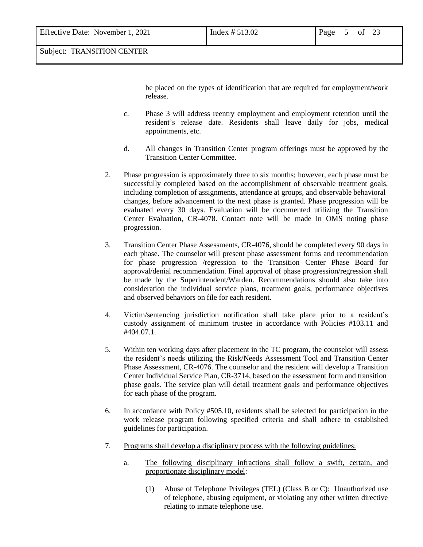be placed on the types of identification that are required for employment/work release.

- c. Phase 3 will address reentry employment and employment retention until the resident's release date. Residents shall leave daily for jobs, medical appointments, etc.
- d. All changes in Transition Center program offerings must be approved by the Transition Center Committee.
- 2. Phase progression is approximately three to six months; however, each phase must be successfully completed based on the accomplishment of observable treatment goals, including completion of assignments, attendance at groups, and observable behavioral changes, before advancement to the next phase is granted. Phase progression will be evaluated every 30 days. Evaluation will be documented utilizing the Transition Center Evaluation, CR-4078. Contact note will be made in OMS noting phase progression.
- 3. Transition Center Phase Assessments, CR-4076, should be completed every 90 days in each phase. The counselor will present phase assessment forms and recommendation for phase progression /regression to the Transition Center Phase Board for approval/denial recommendation. Final approval of phase progression/regression shall be made by the Superintendent/Warden. Recommendations should also take into consideration the individual service plans, treatment goals, performance objectives and observed behaviors on file for each resident.
- 4. Victim/sentencing jurisdiction notification shall take place prior to a resident's custody assignment of minimum trustee in accordance with Policies #103.11 and #404.07.1.
- 5. Within ten working days after placement in the TC program, the counselor will assess the resident's needs utilizing the Risk/Needs Assessment Tool and Transition Center Phase Assessment, CR-4076. The counselor and the resident will develop a Transition Center Individual Service Plan, CR-3714, based on the assessment form and transition phase goals. The service plan will detail treatment goals and performance objectives for each phase of the program.
- 6. In accordance with Policy #505.10, residents shall be selected for participation in the work release program following specified criteria and shall adhere to established guidelines for participation.
- 7. Programs shall develop a disciplinary process with the following guidelines:
	- a. The following disciplinary infractions shall follow a swift, certain, and proportionate disciplinary model:
		- (1) Abuse of Telephone Privileges (TEL) (Class B or C): Unauthorized use of telephone, abusing equipment, or violating any other written directive relating to inmate telephone use.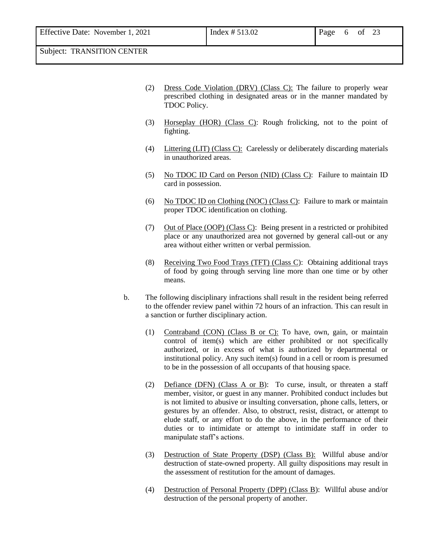- (2) Dress Code Violation (DRV) (Class C): The failure to properly wear prescribed clothing in designated areas or in the manner mandated by TDOC Policy.
- (3) Horseplay (HOR) (Class C): Rough frolicking, not to the point of fighting.
- (4) Littering (LIT) (Class C): Carelessly or deliberately discarding materials in unauthorized areas.
- (5) No TDOC ID Card on Person (NID) (Class C): Failure to maintain ID card in possession.
- (6) No TDOC ID on Clothing (NOC) (Class C): Failure to mark or maintain proper TDOC identification on clothing.
- (7) Out of Place (OOP) (Class C): Being present in a restricted or prohibited place or any unauthorized area not governed by general call-out or any area without either written or verbal permission.
- (8) Receiving Two Food Trays (TFT) (Class C): Obtaining additional trays of food by going through serving line more than one time or by other means.
- b. The following disciplinary infractions shall result in the resident being referred to the offender review panel within 72 hours of an infraction. This can result in a sanction or further disciplinary action.
	- (1) Contraband (CON) (Class B or C): To have, own, gain, or maintain control of item(s) which are either prohibited or not specifically authorized, or in excess of what is authorized by departmental or institutional policy. Any such item(s) found in a cell or room is presumed to be in the possession of all occupants of that housing space.
	- (2) Defiance (DFN) (Class A or B): To curse, insult, or threaten a staff member, visitor, or guest in any manner. Prohibited conduct includes but is not limited to abusive or insulting conversation, phone calls, letters, or gestures by an offender. Also, to obstruct, resist, distract, or attempt to elude staff, or any effort to do the above, in the performance of their duties or to intimidate or attempt to intimidate staff in order to manipulate staff's actions.
	- (3) Destruction of State Property (DSP) (Class B): Willful abuse and/or destruction of state-owned property. All guilty dispositions may result in the assessment of restitution for the amount of damages.
	- (4) Destruction of Personal Property (DPP) (Class B): Willful abuse and/or destruction of the personal property of another.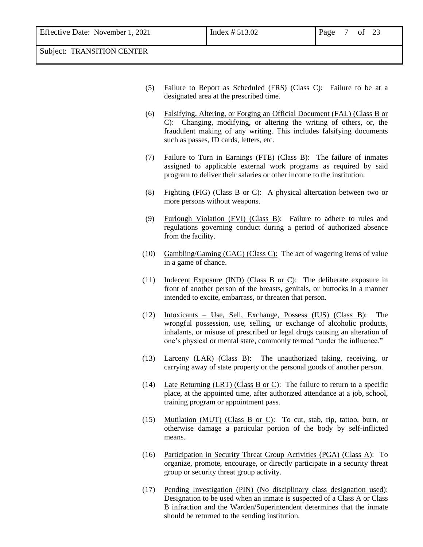- (5) Failure to Report as Scheduled (FRS) (Class C): Failure to be at a designated area at the prescribed time.
- (6) Falsifying, Altering, or Forging an Official Document (FAL) (Class B or C): Changing, modifying, or altering the writing of others, or, the fraudulent making of any writing. This includes falsifying documents such as passes, ID cards, letters, etc.
- (7) Failure to Turn in Earnings (FTE) (Class B): The failure of inmates assigned to applicable external work programs as required by said program to deliver their salaries or other income to the institution.
- (8) Fighting (FIG) (Class B or C): A physical altercation between two or more persons without weapons.
- (9) Furlough Violation (FVI) (Class B): Failure to adhere to rules and regulations governing conduct during a period of authorized absence from the facility.
- (10) Gambling/Gaming (GAG) (Class C): The act of wagering items of value in a game of chance.
- (11) Indecent Exposure (IND) (Class B or C): The deliberate exposure in front of another person of the breasts, genitals, or buttocks in a manner intended to excite, embarrass, or threaten that person.
- (12) Intoxicants Use, Sell, Exchange, Possess (IUS) (Class B): The wrongful possession, use, selling, or exchange of alcoholic products, inhalants, or misuse of prescribed or legal drugs causing an alteration of one's physical or mental state, commonly termed "under the influence."
- (13) Larceny (LAR) (Class B): The unauthorized taking, receiving, or carrying away of state property or the personal goods of another person.
- (14) Late Returning (LRT) (Class B or C): The failure to return to a specific place, at the appointed time, after authorized attendance at a job, school, training program or appointment pass.
- (15) Mutilation (MUT) (Class B or C): To cut, stab, rip, tattoo, burn, or otherwise damage a particular portion of the body by self-inflicted means.
- (16) Participation in Security Threat Group Activities (PGA) (Class A): To organize, promote, encourage, or directly participate in a security threat group or security threat group activity.
- (17) Pending Investigation (PIN) (No disciplinary class designation used): Designation to be used when an inmate is suspected of a Class A or Class B infraction and the Warden/Superintendent determines that the inmate should be returned to the sending institution.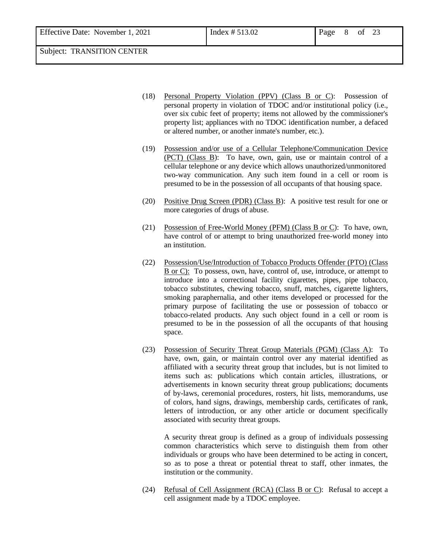Effective Date: November 1, 2021 Index # 513.02 Page 8 of 23

Subject: TRANSITION CENTER

- (18) Personal Property Violation (PPV) (Class B or C): Possession of personal property in violation of TDOC and/or institutional policy (i.e., over six cubic feet of property; items not allowed by the commissioner's property list; appliances with no TDOC identification number, a defaced or altered number, or another inmate's number, etc.).
- (19) Possession and/or use of a Cellular Telephone/Communication Device (PCT) (Class B): To have, own, gain, use or maintain control of a cellular telephone or any device which allows unauthorized/unmonitored two-way communication. Any such item found in a cell or room is presumed to be in the possession of all occupants of that housing space.
- (20) Positive Drug Screen (PDR) (Class B): A positive test result for one or more categories of drugs of abuse.
- (21) Possession of Free-World Money (PFM) (Class B or C): To have, own, have control of or attempt to bring unauthorized free-world money into an institution.
- (22) Possession/Use/Introduction of Tobacco Products Offender (PTO) (Class B or C): To possess, own, have, control of, use, introduce, or attempt to introduce into a correctional facility cigarettes, pipes, pipe tobacco, tobacco substitutes, chewing tobacco, snuff, matches, cigarette lighters, smoking paraphernalia, and other items developed or processed for the primary purpose of facilitating the use or possession of tobacco or tobacco-related products. Any such object found in a cell or room is presumed to be in the possession of all the occupants of that housing space.
- (23) Possession of Security Threat Group Materials (PGM) (Class A): To have, own, gain, or maintain control over any material identified as affiliated with a security threat group that includes, but is not limited to items such as: publications which contain articles, illustrations, or advertisements in known security threat group publications; documents of by-laws, ceremonial procedures, rosters, hit lists, memorandums, use of colors, hand signs, drawings, membership cards, certificates of rank, letters of introduction, or any other article or document specifically associated with security threat groups.

A security threat group is defined as a group of individuals possessing common characteristics which serve to distinguish them from other individuals or groups who have been determined to be acting in concert, so as to pose a threat or potential threat to staff, other inmates, the institution or the community.

(24) Refusal of Cell Assignment (RCA) (Class B or C): Refusal to accept a cell assignment made by a TDOC employee.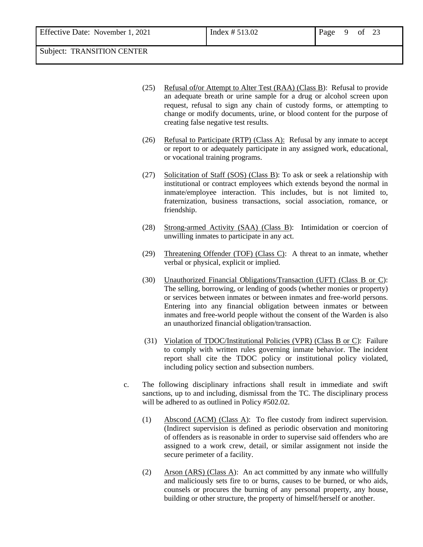- (25) Refusal of**/**or Attempt to Alter Test (RAA) (Class B): Refusal to provide an adequate breath or urine sample for a drug or alcohol screen upon request, refusal to sign any chain of custody forms, or attempting to change or modify documents, urine, or blood content for the purpose of creating false negative test results.
- (26) Refusal to Participate (RTP) (Class A): Refusal by any inmate to accept or report to or adequately participate in any assigned work, educational, or vocational training programs.
- (27) Solicitation of Staff (SOS) (Class B): To ask or seek a relationship with institutional or contract employees which extends beyond the normal in inmate/employee interaction. This includes, but is not limited to, fraternization, business transactions, social association, romance, or friendship.
- (28) Strong-armed Activity (SAA) (Class B): Intimidation or coercion of unwilling inmates to participate in any act.
- (29) Threatening Offender (TOF) (Class C): A threat to an inmate, whether verbal or physical, explicit or implied.
- (30) Unauthorized Financial Obligations/Transaction (UFT) (Class B or C): The selling, borrowing, or lending of goods (whether monies or property) or services between inmates or between inmates and free-world persons. Entering into any financial obligation between inmates or between inmates and free-world people without the consent of the Warden is also an unauthorized financial obligation/transaction.
- (31) Violation of TDOC/Institutional Policies (VPR) (Class B or C): Failure to comply with written rules governing inmate behavior. The incident report shall cite the TDOC policy or institutional policy violated, including policy section and subsection numbers.
- c. The following disciplinary infractions shall result in immediate and swift sanctions, up to and including, dismissal from the TC. The disciplinary process will be adhered to as outlined in Policy #502.02.
	- (1) Abscond (ACM) (Class A): To flee custody from indirect supervision. (Indirect supervision is defined as periodic observation and monitoring of offenders as is reasonable in order to supervise said offenders who are assigned to a work crew, detail, or similar assignment not inside the secure perimeter of a facility.
	- (2) Arson (ARS) (Class A): An act committed by any inmate who willfully and maliciously sets fire to or burns, causes to be burned, or who aids, counsels or procures the burning of any personal property, any house, building or other structure, the property of himself/herself or another.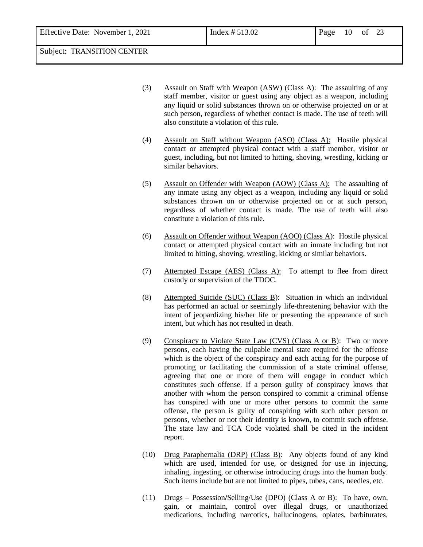- (3) Assault on Staff with Weapon (ASW) (Class A): The assaulting of any staff member, visitor or guest using any object as a weapon, including any liquid or solid substances thrown on or otherwise projected on or at such person, regardless of whether contact is made. The use of teeth will also constitute a violation of this rule.
- (4) Assault on Staff without Weapon (ASO) (Class A): Hostile physical contact or attempted physical contact with a staff member, visitor or guest, including, but not limited to hitting, shoving, wrestling, kicking or similar behaviors.
- (5) Assault on Offender with Weapon (AOW) (Class A): The assaulting of any inmate using any object as a weapon, including any liquid or solid substances thrown on or otherwise projected on or at such person, regardless of whether contact is made. The use of teeth will also constitute a violation of this rule.
- (6) Assault on Offender without Weapon (AOO) (Class A): Hostile physical contact or attempted physical contact with an inmate including but not limited to hitting, shoving, wrestling, kicking or similar behaviors.
- (7) Attempted Escape (AES) (Class A): To attempt to flee from direct custody or supervision of the TDOC.
- (8) Attempted Suicide (SUC) (Class B): Situation in which an individual has performed an actual or seemingly life-threatening behavior with the intent of jeopardizing his/her life or presenting the appearance of such intent, but which has not resulted in death.
- (9) Conspiracy to Violate State Law (CVS) (Class A or B): Two or more persons, each having the culpable mental state required for the offense which is the object of the conspiracy and each acting for the purpose of promoting or facilitating the commission of a state criminal offense, agreeing that one or more of them will engage in conduct which constitutes such offense. If a person guilty of conspiracy knows that another with whom the person conspired to commit a criminal offense has conspired with one or more other persons to commit the same offense, the person is guilty of conspiring with such other person or persons, whether or not their identity is known, to commit such offense. The state law and TCA Code violated shall be cited in the incident report.
- (10) Drug Paraphernalia (DRP) (Class B): Any objects found of any kind which are used, intended for use, or designed for use in injecting, inhaling, ingesting, or otherwise introducing drugs into the human body. Such items include but are not limited to pipes, tubes, cans, needles, etc.
- (11) Drugs Possession**/**Selling/Use (DPO) (Class A or B): To have, own, gain, or maintain, control over illegal drugs, or unauthorized medications, including narcotics, hallucinogens, opiates, barbiturates,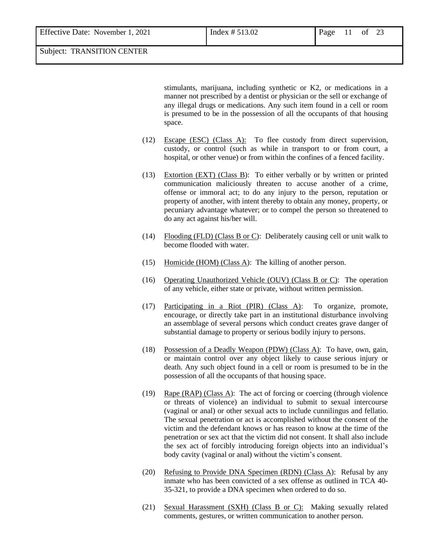| Effective Date: November 1, 2021 | Index $# 513.02$ | Page | of 23 |  |
|----------------------------------|------------------|------|-------|--|
| Subject: TRANSITION CENTER       |                  |      |       |  |

stimulants, marijuana, including synthetic or K2, or medications in a manner not prescribed by a dentist or physician or the sell or exchange of any illegal drugs or medications. Any such item found in a cell or room is presumed to be in the possession of all the occupants of that housing space.

- (12) Escape (ESC) (Class A): To flee custody from direct supervision, custody, or control (such as while in transport to or from court, a hospital, or other venue) or from within the confines of a fenced facility.
- (13) Extortion  $(EXT)$  (Class B): To either verbally or by written or printed communication maliciously threaten to accuse another of a crime, offense or immoral act; to do any injury to the person, reputation or property of another, with intent thereby to obtain any money, property, or pecuniary advantage whatever; or to compel the person so threatened to do any act against his/her will.
- (14) Flooding (FLD) (Class B or C): Deliberately causing cell or unit walk to become flooded with water.
- (15) Homicide (HOM) (Class A): The killing of another person.
- (16) Operating Unauthorized Vehicle (OUV) (Class B or C): The operation of any vehicle, either state or private, without written permission.
- (17) Participating in a Riot (PIR) (Class A): To organize, promote, encourage, or directly take part in an institutional disturbance involving an assemblage of several persons which conduct creates grave danger of substantial damage to property or serious bodily injury to persons.
- (18) Possession of a Deadly Weapon (PDW) (Class A): To have, own, gain, or maintain control over any object likely to cause serious injury or death. Any such object found in a cell or room is presumed to be in the possession of all the occupants of that housing space.
- (19) Rape (RAP) (Class A): The act of forcing or coercing (through violence or threats of violence) an individual to submit to sexual intercourse (vaginal or anal) or other sexual acts to include cunnilingus and fellatio. The sexual penetration or act is accomplished without the consent of the victim and the defendant knows or has reason to know at the time of the penetration or sex act that the victim did not consent. It shall also include the sex act of forcibly introducing foreign objects into an individual's body cavity (vaginal or anal) without the victim's consent.
- (20) Refusing to Provide DNA Specimen (RDN) (Class A): Refusal by any inmate who has been convicted of a sex offense as outlined in TCA 40- 35-321, to provide a DNA specimen when ordered to do so.
- (21) Sexual Harassment (SXH) (Class B or C): Making sexually related comments, gestures, or written communication to another person.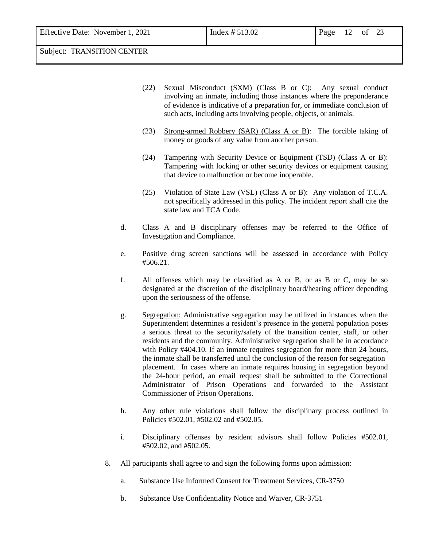- (22) Sexual Misconduct (SXM) (Class B or C): Any sexual conduct involving an inmate, including those instances where the preponderance of evidence is indicative of a preparation for, or immediate conclusion of such acts, including acts involving people, objects, or animals.
- (23) Strong-armed Robbery (SAR) (Class A or B): The forcible taking of money or goods of any value from another person.
- (24) Tampering with Security Device or Equipment (TSD) (Class A or B): Tampering with locking or other security devices or equipment causing that device to malfunction or become inoperable.
- (25) Violation of State Law (VSL) (Class A or B): Any violation of T.C.A. not specifically addressed in this policy. The incident report shall cite the state law and TCA Code.
- d. Class A and B disciplinary offenses may be referred to the Office of Investigation and Compliance.
- e. Positive drug screen sanctions will be assessed in accordance with Policy #506.21.
- f. All offenses which may be classified as A or B, or as B or C, may be so designated at the discretion of the disciplinary board/hearing officer depending upon the seriousness of the offense.
- g. Segregation: Administrative segregation may be utilized in instances when the Superintendent determines a resident's presence in the general population poses a serious threat to the security/safety of the transition center, staff, or other residents and the community. Administrative segregation shall be in accordance with Policy #404.10. If an inmate requires segregation for more than 24 hours, the inmate shall be transferred until the conclusion of the reason for segregation placement. In cases where an inmate requires housing in segregation beyond the 24-hour period, an email request shall be submitted to the Correctional Administrator of Prison Operations and forwarded to the Assistant Commissioner of Prison Operations.
- h. Any other rule violations shall follow the disciplinary process outlined in Policies #502.01, #502.02 and #502.05.
- i. Disciplinary offenses by resident advisors shall follow Policies #502.01, #502.02, and #502.05.
- 8. All participants shall agree to and sign the following forms upon admission:
	- a. Substance Use Informed Consent for Treatment Services, CR-3750
	- b. Substance Use Confidentiality Notice and Waiver, CR-3751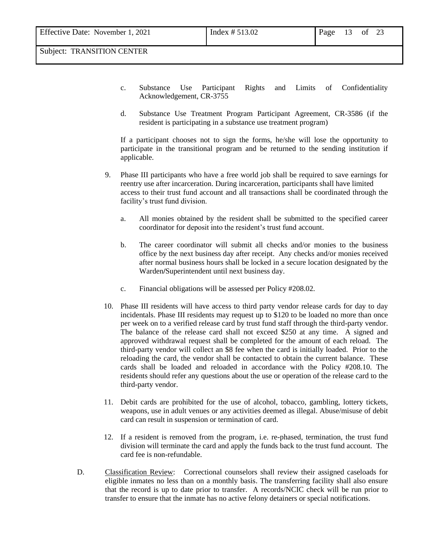- c. Substance Use Participant Rights and Limits of Confidentiality Acknowledgement, CR-3755
- d. Substance Use Treatment Program Participant Agreement, CR-3586 (if the resident is participating in a substance use treatment program)

If a participant chooses not to sign the forms, he/she will lose the opportunity to participate in the transitional program and be returned to the sending institution if applicable.

- 9. Phase III participants who have a free world job shall be required to save earnings for reentry use after incarceration. During incarceration, participants shall have limited access to their trust fund account and all transactions shall be coordinated through the facility's trust fund division.
	- a. All monies obtained by the resident shall be submitted to the specified career coordinator for deposit into the resident's trust fund account.
	- b. The career coordinator will submit all checks and/or monies to the business office by the next business day after receipt. Any checks and/or monies received after normal business hours shall be locked in a secure location designated by the Warden**/**Superintendent until next business day.
	- c. Financial obligations will be assessed per Policy #208.02.
- 10. Phase III residents will have access to third party vendor release cards for day to day incidentals. Phase III residents may request up to \$120 to be loaded no more than once per week on to a verified release card by trust fund staff through the third-party vendor. The balance of the release card shall not exceed \$250 at any time. A signed and approved withdrawal request shall be completed for the amount of each reload. The third-party vendor will collect an \$8 fee when the card is initially loaded. Prior to the reloading the card, the vendor shall be contacted to obtain the current balance. These cards shall be loaded and reloaded in accordance with the Policy #208.10. The residents should refer any questions about the use or operation of the release card to the third-party vendor.
- 11. Debit cards are prohibited for the use of alcohol, tobacco, gambling, lottery tickets, weapons, use in adult venues or any activities deemed as illegal. Abuse/misuse of debit card can result in suspension or termination of card.
- 12. If a resident is removed from the program, i.e. re-phased, termination, the trust fund division will terminate the card and apply the funds back to the trust fund account. The card fee is non-refundable.
- D. Classification Review: Correctional counselors shall review their assigned caseloads for eligible inmates no less than on a monthly basis. The transferring facility shall also ensure that the record is up to date prior to transfer. A records/NCIC check will be run prior to transfer to ensure that the inmate has no active felony detainers or special notifications.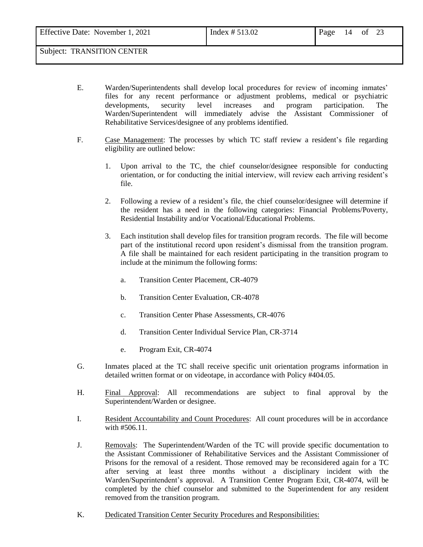Effective Date: November 1, 2021  $\boxed{\text{Index } #513.02}$  Page 14 of 23 Subject: TRANSITION CENTER

- E. Warden/Superintendents shall develop local procedures for review of incoming inmates' files for any recent performance or adjustment problems, medical or psychiatric developments, security level increases and program participation. The Warden/Superintendent will immediately advise the Assistant Commissioner of Rehabilitative Services/designee of any problems identified.
	- F. Case Management: The processes by which TC staff review a resident's file regarding eligibility are outlined below:
		- 1. Upon arrival to the TC, the chief counselor/designee responsible for conducting orientation, or for conducting the initial interview, will review each arriving resident's file.
		- 2. Following a review of a resident's file, the chief counselor/designee will determine if the resident has a need in the following categories: Financial Problems/Poverty, Residential Instability and/or Vocational/Educational Problems.
		- 3. Each institution shall develop files for transition program records. The file will become part of the institutional record upon resident's dismissal from the transition program. A file shall be maintained for each resident participating in the transition program to include at the minimum the following forms:
			- a. Transition Center Placement, CR-4079
			- b. Transition Center Evaluation, CR-4078
			- c. Transition Center Phase Assessments, CR-4076
			- d. Transition Center Individual Service Plan, CR-3714
			- e. Program Exit, CR-4074
	- G. Inmates placed at the TC shall receive specific unit orientation programs information in detailed written format or on videotape, in accordance with Policy #404.05.
	- H. Final Approval: All recommendations are subject to final approval by the Superintendent/Warden or designee.
	- I. Resident Accountability and Count Procedures: All count procedures will be in accordance with #506.11.
	- J. Removals: The Superintendent/Warden of the TC will provide specific documentation to the Assistant Commissioner of Rehabilitative Services and the Assistant Commissioner of Prisons for the removal of a resident. Those removed may be reconsidered again for a TC after serving at least three months without a disciplinary incident with the Warden/Superintendent's approval. A Transition Center Program Exit, CR-4074, will be completed by the chief counselor and submitted to the Superintendent for any resident removed from the transition program.
	- K. Dedicated Transition Center Security Procedures and Responsibilities: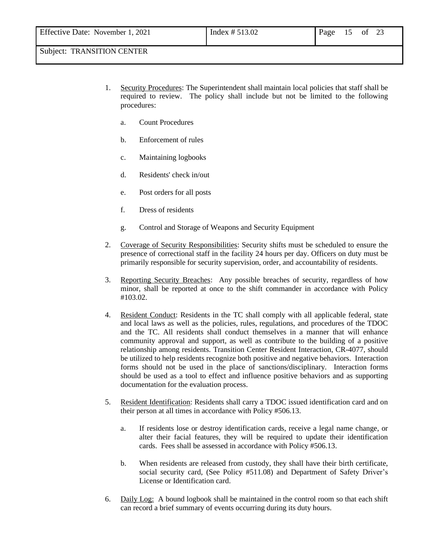- 1. Security Procedures: The Superintendent shall maintain local policies that staff shall be required to review. The policy shall include but not be limited to the following procedures:
	- a. Count Procedures
	- b. Enforcement of rules
	- c. Maintaining logbooks
	- d. Residents' check in/out
	- e. Post orders for all posts
	- f. Dress of residents
	- g. Control and Storage of Weapons and Security Equipment
- 2. Coverage of Security Responsibilities: Security shifts must be scheduled to ensure the presence of correctional staff in the facility 24 hours per day. Officers on duty must be primarily responsible for security supervision, order, and accountability of residents.
- 3. Reporting Security Breaches: Any possible breaches of security, regardless of how minor, shall be reported at once to the shift commander in accordance with Policy #103.02.
- 4. Resident Conduct: Residents in the TC shall comply with all applicable federal, state and local laws as well as the policies, rules, regulations, and procedures of the TDOC and the TC. All residents shall conduct themselves in a manner that will enhance community approval and support, as well as contribute to the building of a positive relationship among residents. Transition Center Resident Interaction, CR-4077, should be utilized to help residents recognize both positive and negative behaviors. Interaction forms should not be used in the place of sanctions/disciplinary. Interaction forms should be used as a tool to effect and influence positive behaviors and as supporting documentation for the evaluation process.
- 5. Resident Identification: Residents shall carry a TDOC issued identification card and on their person at all times in accordance with Policy #506.13.
	- a. If residents lose or destroy identification cards, receive a legal name change, or alter their facial features, they will be required to update their identification cards. Fees shall be assessed in accordance with Policy #506.13.
	- b. When residents are released from custody, they shall have their birth certificate, social security card, (See Policy #511.08) and Department of Safety Driver's License or Identification card.
- 6. Daily Log: A bound logbook shall be maintained in the control room so that each shift can record a brief summary of events occurring during its duty hours.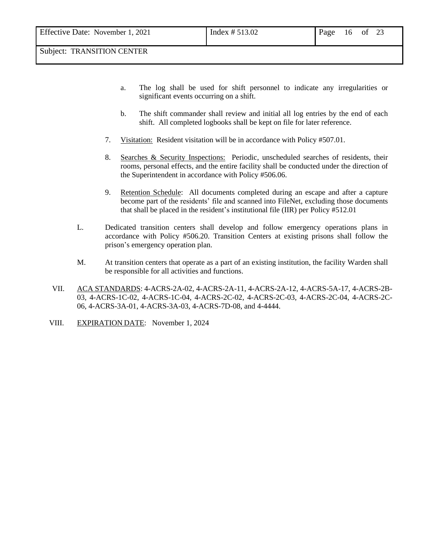- a. The log shall be used for shift personnel to indicate any irregularities or significant events occurring on a shift.
- b. The shift commander shall review and initial all log entries by the end of each shift. All completed logbooks shall be kept on file for later reference.
- 7. Visitation: Resident visitation will be in accordance with Policy #507.01.
- 8. Searches & Security Inspections: Periodic, unscheduled searches of residents, their rooms, personal effects, and the entire facility shall be conducted under the direction of the Superintendent in accordance with Policy #506.06.
- 9. Retention Schedule: All documents completed during an escape and after a capture become part of the residents' file and scanned into FileNet, excluding those documents that shall be placed in the resident's institutional file (IIR) per Policy #512.01
- L. Dedicated transition centers shall develop and follow emergency operations plans in accordance with Policy #506.20. Transition Centers at existing prisons shall follow the prison's emergency operation plan.
- M. At transition centers that operate as a part of an existing institution, the facility Warden shall be responsible for all activities and functions.
- VII. ACA STANDARDS: 4-ACRS-2A-02, 4-ACRS-2A-11, 4-ACRS-2A-12, 4-ACRS-5A-17, 4-ACRS-2B-03, 4-ACRS-1C-02, 4-ACRS-1C-04, 4-ACRS-2C-02, 4-ACRS-2C-03, 4-ACRS-2C-04, 4-ACRS-2C-06, 4-ACRS-3A-01, 4-ACRS-3A-03, 4-ACRS-7D-08, and 4-4444.
- VIII. EXPIRATION DATE: November 1, 2024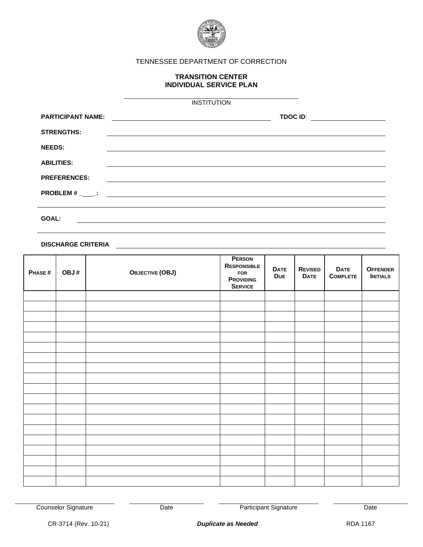

### TENNESSEE DEPARTMENT OF CORRECTION

#### **TRANSITION CENTER INDIVIDUAL SERVICE PLAN**

|                          | <b>INSTITUTION</b>                                                               |                                                                                                                                          |
|--------------------------|----------------------------------------------------------------------------------|------------------------------------------------------------------------------------------------------------------------------------------|
| <b>PARTICIPANT NAME:</b> | <u> 1989 - Johann Stein, mars an deus Amerikaansk kommunister (</u>              | <b>TDOC ID:</b><br><u> 1980 - Jan Samuel Barbara, prima populație de la proprietat de la proprietat de la proprietat de la proprieta</u> |
| <b>STRENGTHS:</b>        |                                                                                  |                                                                                                                                          |
| <b>NEEDS:</b>            |                                                                                  |                                                                                                                                          |
| <b>ABILITIES:</b>        |                                                                                  |                                                                                                                                          |
| <b>PREFERENCES:</b>      |                                                                                  |                                                                                                                                          |
|                          |                                                                                  |                                                                                                                                          |
|                          |                                                                                  |                                                                                                                                          |
| GOAL:                    | ,我们也不会有什么。""我们的人,我们也不会有什么?""我们的人,我们也不会有什么?""我们的人,我们也不会有什么?""我们的人,我们也不会有什么?""我们的人 |                                                                                                                                          |
|                          |                                                                                  |                                                                                                                                          |

**DISCHARGE CRITERIA**

| PHASE# | OBJ# | <b>OBJECTIVE (OBJ)</b> | <b>PERSON</b><br>RESPONSIBLE<br><b>FOR</b><br><b>PROVIDING</b><br><b>SERVICE</b> | <b>DATE</b><br><b>DUE</b> | <b>REVISED</b><br><b>DATE</b> | <b>DATE</b><br><b>COMPLETE</b> | <b>OFFENDER</b><br><b>INITIALS</b> |
|--------|------|------------------------|----------------------------------------------------------------------------------|---------------------------|-------------------------------|--------------------------------|------------------------------------|
|        |      |                        |                                                                                  |                           |                               |                                |                                    |
|        |      |                        |                                                                                  |                           |                               |                                |                                    |
|        |      |                        |                                                                                  |                           |                               |                                |                                    |
|        |      |                        |                                                                                  |                           |                               |                                |                                    |
|        |      |                        |                                                                                  |                           |                               |                                |                                    |
|        |      |                        |                                                                                  |                           |                               |                                |                                    |
|        |      |                        |                                                                                  |                           |                               |                                |                                    |
|        |      |                        |                                                                                  |                           |                               |                                |                                    |
|        |      |                        |                                                                                  |                           |                               |                                |                                    |
|        |      |                        |                                                                                  |                           |                               |                                |                                    |
|        |      |                        |                                                                                  |                           |                               |                                |                                    |
|        |      |                        |                                                                                  |                           |                               |                                |                                    |
|        |      |                        |                                                                                  |                           |                               |                                |                                    |
|        |      |                        |                                                                                  |                           |                               |                                |                                    |
|        |      |                        |                                                                                  |                           |                               |                                |                                    |
|        |      |                        |                                                                                  |                           |                               |                                |                                    |
|        |      |                        |                                                                                  |                           |                               |                                |                                    |
|        |      |                        |                                                                                  |                           |                               |                                |                                    |
|        |      |                        |                                                                                  |                           |                               |                                |                                    |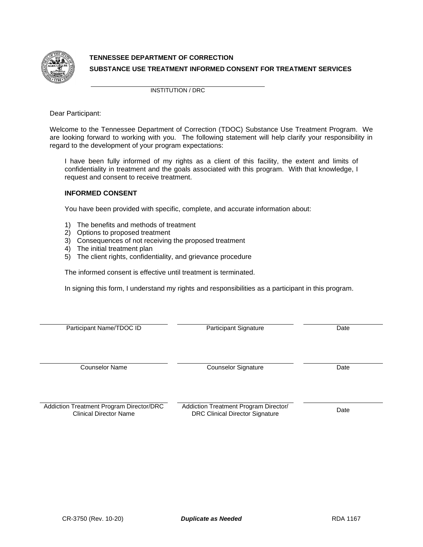

## **TENNESSEE DEPARTMENT OF CORRECTION SUBSTANCE USE TREATMENT INFORMED CONSENT FOR TREATMENT SERVICES**

INSTITUTION / DRC

Dear Participant:

Welcome to the Tennessee Department of Correction (TDOC) Substance Use Treatment Program. We are looking forward to working with you. The following statement will help clarify your responsibility in regard to the development of your program expectations:

I have been fully informed of my rights as a client of this facility, the extent and limits of confidentiality in treatment and the goals associated with this program. With that knowledge, I request and consent to receive treatment.

#### **INFORMED CONSENT**

You have been provided with specific, complete, and accurate information about:

- 1) The benefits and methods of treatment
- 2) Options to proposed treatment
- 3) Consequences of not receiving the proposed treatment
- 4) The initial treatment plan
- 5) The client rights, confidentiality, and grievance procedure

The informed consent is effective until treatment is terminated.

In signing this form, I understand my rights and responsibilities as a participant in this program.

| Participant Name/TDOC ID                                                  | Participant Signature                                                           | Date |
|---------------------------------------------------------------------------|---------------------------------------------------------------------------------|------|
| <b>Counselor Name</b>                                                     | <b>Counselor Signature</b>                                                      | Date |
| Addiction Treatment Program Director/DRC<br><b>Clinical Director Name</b> | Addiction Treatment Program Director/<br><b>DRC Clinical Director Signature</b> | Date |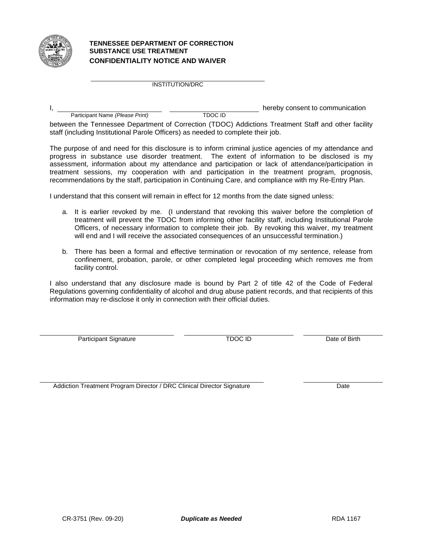

#### **TENNESSEE DEPARTMENT OF CORRECTION SUBSTANCE USE TREATMENT CONFIDENTIALITY NOTICE AND WAIVER**

INSTITUTION/DRC

|                                 |         | hereby consent to communication |
|---------------------------------|---------|---------------------------------|
| Participant Name (Please Print) | TDOC ID |                                 |

between the Tennessee Department of Correction (TDOC) Addictions Treatment Staff and other facility staff (including Institutional Parole Officers) as needed to complete their job.

The purpose of and need for this disclosure is to inform criminal justice agencies of my attendance and progress in substance use disorder treatment. The extent of information to be disclosed is my assessment, information about my attendance and participation or lack of attendance/participation in treatment sessions, my cooperation with and participation in the treatment program, prognosis, recommendations by the staff, participation in Continuing Care, and compliance with my Re-Entry Plan.

I understand that this consent will remain in effect for 12 months from the date signed unless:

- a. It is earlier revoked by me. (I understand that revoking this waiver before the completion of treatment will prevent the TDOC from informing other facility staff, including Institutional Parole Officers, of necessary information to complete their job. By revoking this waiver, my treatment will end and I will receive the associated consequences of an unsuccessful termination.)
- b. There has been a formal and effective termination or revocation of my sentence, release from confinement, probation, parole, or other completed legal proceeding which removes me from facility control.

I also understand that any disclosure made is bound by Part 2 of title 42 of the Code of Federal Regulations governing confidentiality of alcohol and drug abuse patient records, and that recipients of this information may re-disclose it only in connection with their official duties.

Participant Signature TDOC ID Date of Birth

Addiction Treatment Program Director / DRC Clinical Director Signature Date Date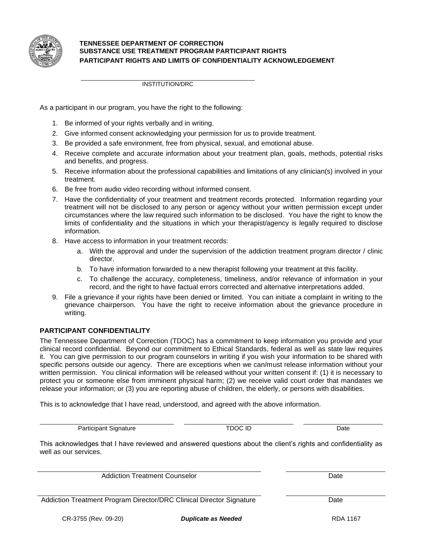

#### **TENNESSEE DEPARTMENT OF CORRECTION SUBSTANCE USE TREATMENT PROGRAM PARTICIPANT RIGHTS PARTICIPANT RIGHTS AND LIMITS OF CONFIDENTIALITY ACKNOWLEDGEMENT**

INSTITUTION/DRC

As a participant in our program, you have the right to the following:

- 1. Be informed of your rights verbally and in writing.
- 2. Give informed consent acknowledging your permission for us to provide treatment.
- 3. Be provided a safe environment, free from physical, sexual, and emotional abuse.
- 4. Receive complete and accurate information about your treatment plan, goals, methods, potential risks and benefits, and progress.
- 5. Receive information about the professional capabilities and limitations of any clinician(s) involved in your treatment.
- 6. Be free from audio video recording without informed consent.
- 7. Have the confidentiality of your treatment and treatment records protected. Information regarding your treatment will not be disclosed to any person or agency without your written permission except under circumstances where the law required such information to be disclosed. You have the right to know the limits of confidentiality and the situations in which your therapist/agency is legally required to disclose information.
- 8. Have access to information in your treatment records:
	- a. With the approval and under the supervision of the addiction treatment program director / clinic director.
	- b. To have information forwarded to a new therapist following your treatment at this facility.
	- c. To challenge the accuracy, completeness, timeliness, and/or relevance of information in your record, and the right to have factual errors corrected and alternative interpretations added.
- 9. File a grievance if your rights have been denied or limited. You can initiate a complaint in writing to the grievance chairperson. You have the right to receive information about the grievance procedure in writing.

#### **PARTICIPANT CONFIDENTIALITY**

The Tennessee Department of Correction (TDOC) has a commitment to keep information you provide and your clinical record confidential. Beyond our commitment to Ethical Standards, federal as well as state law requires it. You can give permission to our program counselors in writing if you wish your information to be shared with specific persons outside our agency. There are exceptions when we can/must release information without your written permission. You clinical information will be released without your written consent if: (1) it is necessary to protect you or someone else from imminent physical harm; (2) we receive valid court order that mandates we release your information; or (3) you are reporting abuse of children, the elderly, or persons with disabilities.

This is to acknowledge that I have read, understood, and agreed with the above information.

Participant Signature **TDOC ID** Date

This acknowledges that I have reviewed and answered questions about the client's rights and confidentiality as well as our services.

Addiction Treatment Counselor **Date Addiction Counselor** Counselor

Addiction Treatment Program Director/DRC Clinical Director Signature Date Date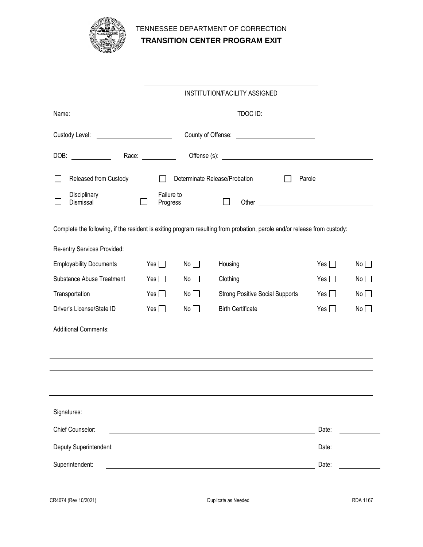

# TENNESSEE DEPARTMENT OF CORRECTION **TRANSITION CENTER PROGRAM EXIT**

|                                                                                                                                |                        |    | <b>INSTITUTION/FACILITY ASSIGNED</b>                                                                                                                                                                                           |            |    |  |
|--------------------------------------------------------------------------------------------------------------------------------|------------------------|----|--------------------------------------------------------------------------------------------------------------------------------------------------------------------------------------------------------------------------------|------------|----|--|
| Name:<br><u> 1989 - Johann Harry Harry Harry Harry Harry Harry Harry Harry Harry Harry Harry Harry Harry Harry Harry Harry</u> |                        |    | TDOC ID:                                                                                                                                                                                                                       |            |    |  |
|                                                                                                                                |                        |    |                                                                                                                                                                                                                                |            |    |  |
| DOB:                                                                                                                           | Race: ___________      |    |                                                                                                                                                                                                                                |            |    |  |
| Released from Custody                                                                                                          |                        |    | Determinate Release/Probation<br>Parole                                                                                                                                                                                        |            |    |  |
| Disciplinary<br>Dismissal                                                                                                      | Failure to<br>Progress |    | Other contracts and the contracts of the contracts of the contracts of the contracts of the contracts of the contracts of the contracts of the contracts of the contracts of the contracts of the contracts of the contracts o |            |    |  |
|                                                                                                                                |                        |    | Complete the following, if the resident is exiting program resulting from probation, parole and/or release from custody:                                                                                                       |            |    |  |
| Re-entry Services Provided:                                                                                                    |                        |    |                                                                                                                                                                                                                                |            |    |  |
| <b>Employability Documents</b>                                                                                                 | Yes $\Box$             | No | Housing                                                                                                                                                                                                                        | Yes $\Box$ | No |  |
| <b>Substance Abuse Treatment</b>                                                                                               | Yes $\Box$             | No | Clothing                                                                                                                                                                                                                       | Yes $\Box$ | No |  |
| Transportation                                                                                                                 | Yes $\Box$             | No | <b>Strong Positive Social Supports</b>                                                                                                                                                                                         | Yes $\Box$ | No |  |
| Driver's License/State ID                                                                                                      | Yes $\Box$             | No | <b>Birth Certificate</b>                                                                                                                                                                                                       | Yes $\Box$ | No |  |
| <b>Additional Comments:</b>                                                                                                    |                        |    |                                                                                                                                                                                                                                |            |    |  |
|                                                                                                                                |                        |    |                                                                                                                                                                                                                                |            |    |  |
|                                                                                                                                |                        |    |                                                                                                                                                                                                                                |            |    |  |
|                                                                                                                                |                        |    |                                                                                                                                                                                                                                |            |    |  |
| Signatures:                                                                                                                    |                        |    |                                                                                                                                                                                                                                |            |    |  |
| Chief Counselor:                                                                                                               |                        |    |                                                                                                                                                                                                                                | Date:      |    |  |
| Deputy Superintendent:                                                                                                         |                        |    |                                                                                                                                                                                                                                | Date:      |    |  |
| Superintendent:                                                                                                                |                        |    |                                                                                                                                                                                                                                | Date:      |    |  |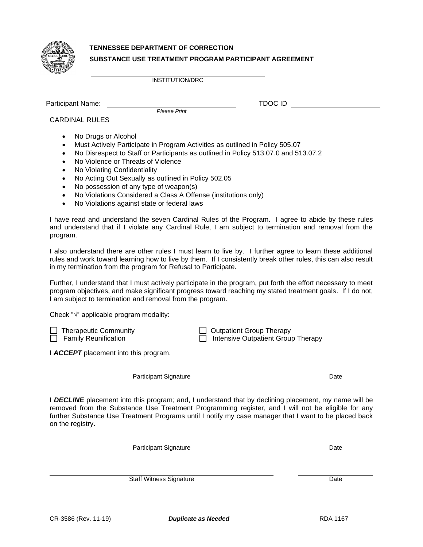

# **TENNESSEE DEPARTMENT OF CORRECTION SUBSTANCE USE TREATMENT PROGRAM PARTICIPANT AGREEMENT**

INSTITUTION/DRC

Participant Name: TDOC ID

*Please Print*

CARDINAL RULES

- No Drugs or Alcohol
- Must Actively Participate in Program Activities as outlined in Policy 505.07
- No Disrespect to Staff or Participants as outlined in Policy 513.07.0 and 513.07.2
- No Violence or Threats of Violence
- No Violating Confidentiality
- No Acting Out Sexually as outlined in Policy 502.05
- No possession of any type of weapon(s)
- No Violations Considered a Class A Offense (institutions only)
- No Violations against state or federal laws

I have read and understand the seven Cardinal Rules of the Program. I agree to abide by these rules and understand that if I violate any Cardinal Rule, I am subject to termination and removal from the program.

I also understand there are other rules I must learn to live by. I further agree to learn these additional rules and work toward learning how to live by them. If I consistently break other rules, this can also result in my termination from the program for Refusal to Participate.

Further, I understand that I must actively participate in the program, put forth the effort necessary to meet program objectives, and make significant progress toward reaching my stated treatment goals. If I do not, I am subject to termination and removal from the program.

Check "√" applicable program modality:

◯ Therapeutic Community  $\Box$  Therapeutic Community  $\Box$  Outpatient Group Therapy  $\Box$  Therapy Family Reunification  $\overline{\Box}$  Intensive Outpatient Group Therapy

I *ACCEPT* placement into this program.

Participant Signature Date

I *DECLINE* placement into this program; and, I understand that by declining placement, my name will be removed from the Substance Use Treatment Programming register, and I will not be eligible for any further Substance Use Treatment Programs until I notify my case manager that I want to be placed back on the registry.

Participant Signature Date

Staff Witness Signature Date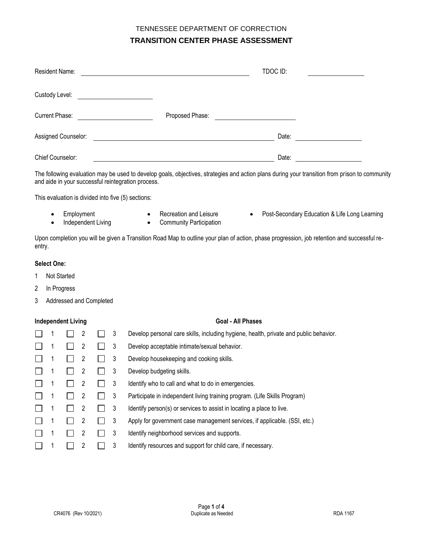| Resident Name:                                                                             |                                                                      | TDOC ID: |
|--------------------------------------------------------------------------------------------|----------------------------------------------------------------------|----------|
| Custody Level:<br><u> 1980 - Jan Samuel Barbara, político e a f</u>                        |                                                                      |          |
| <b>Current Phase:</b><br><u> 1989 - Andrea Station Books, amerikansk politik (d. 1989)</u> | Proposed Phase:<br><u> 1980 - Jan Samuel Barbara, político e a f</u> |          |
| Assigned Counselor:                                                                        |                                                                      | Date:    |
| Chief Counselor:                                                                           |                                                                      | Date:    |

The following evaluation may be used to develop goals, objectives, strategies and action plans during your transition from prison to community and aide in your successful reintegration process.

This evaluation is divided into five (5) sections:

- 
- Independent Living Community Participation
- 
- Employment Recreation and Leisure Post-Secondary Education & Life Long Learning

Upon completion you will be given a Transition Road Map to outline your plan of action, phase progression, job retention and successful reentry.

#### **Select One:**

- 1 Not Started
- 2 In Progress
- 3 Addressed and Completed

#### **Independent Living Goal - All Phases**

|  | 2 | 3 | Develop personal care skills, including hygiene, health, private and public behavior. |
|--|---|---|---------------------------------------------------------------------------------------|
|  | 2 | 3 | Develop acceptable intimate/sexual behavior.                                          |
|  | 2 | 3 | Develop housekeeping and cooking skills.                                              |
|  | 2 | 3 | Develop budgeting skills.                                                             |
|  | 2 | 3 | Identify who to call and what to do in emergencies.                                   |
|  | 2 | 3 | Participate in independent living training program. (Life Skills Program)             |
|  | 2 | 3 | Identify person(s) or services to assist in locating a place to live.                 |
|  | 2 | 3 | Apply for government case management services, if applicable. (SSI, etc.)             |
|  | 2 | 3 | Identify neighborhood services and supports.                                          |
|  | 2 | 3 | Identify resources and support for child care, if necessary.                          |
|  |   |   |                                                                                       |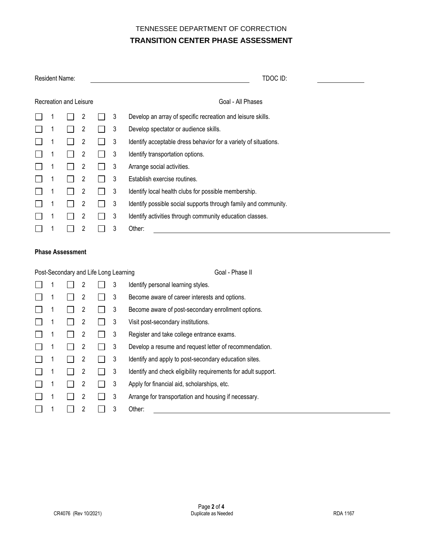| <b>Resident Name:</b>  |  |  |                |  |   | TDOC ID:                                                        |  |  |  |  |
|------------------------|--|--|----------------|--|---|-----------------------------------------------------------------|--|--|--|--|
| Recreation and Leisure |  |  |                |  |   | Goal - All Phases                                               |  |  |  |  |
|                        |  |  | 2              |  | 3 | Develop an array of specific recreation and leisure skills.     |  |  |  |  |
|                        |  |  | 2              |  | 3 | Develop spectator or audience skills.                           |  |  |  |  |
|                        |  |  | 2              |  | 3 | Identify acceptable dress behavior for a variety of situations. |  |  |  |  |
|                        |  |  | 2              |  | 3 | Identify transportation options.                                |  |  |  |  |
|                        |  |  | 2              |  | 3 | Arrange social activities.                                      |  |  |  |  |
|                        |  |  | 2              |  | 3 | Establish exercise routines.                                    |  |  |  |  |
|                        |  |  | 2              |  | 3 | Identify local health clubs for possible membership.            |  |  |  |  |
|                        |  |  | $\overline{2}$ |  | 3 | Identify possible social supports through family and community. |  |  |  |  |
|                        |  |  | 2              |  | 3 | Identify activities through community education classes.        |  |  |  |  |
|                        |  |  | $\overline{c}$ |  | 3 | Other:                                                          |  |  |  |  |

#### **Phase Assessment**

|   | Post-Secondary and Life Long Learning |   |   | Goal - Phase II                                                |
|---|---------------------------------------|---|---|----------------------------------------------------------------|
|   |                                       | 2 | 3 | Identify personal learning styles.                             |
|   |                                       | 2 | 3 | Become aware of career interests and options.                  |
|   |                                       | 2 | 3 | Become aware of post-secondary enrollment options.             |
|   |                                       | 2 | 3 | Visit post-secondary institutions.                             |
|   |                                       | 2 | 3 | Register and take college entrance exams.                      |
| 1 |                                       | 2 | 3 | Develop a resume and request letter of recommendation.         |
| 1 |                                       | 2 | 3 | Identify and apply to post-secondary education sites.          |
| 1 |                                       | 2 | 3 | Identify and check eligibility requirements for adult support. |
|   |                                       | 2 | 3 | Apply for financial aid, scholarships, etc.                    |
| 1 |                                       | 2 | 3 | Arrange for transportation and housing if necessary.           |
|   |                                       | 2 | 3 | Other:                                                         |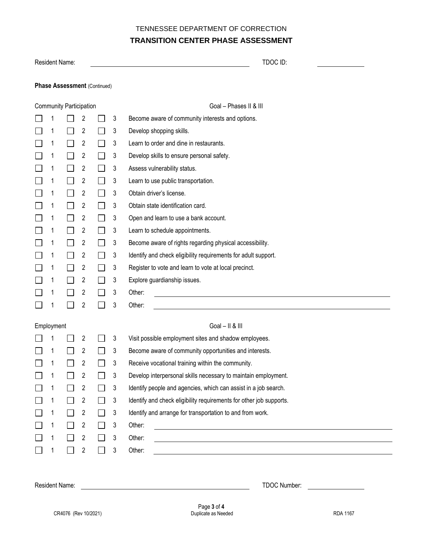| Resident Name:                      |                                |   |  |   | TDOC ID:                                                                                                                         |  |  |  |  |
|-------------------------------------|--------------------------------|---|--|---|----------------------------------------------------------------------------------------------------------------------------------|--|--|--|--|
| <b>Phase Assessment (Continued)</b> |                                |   |  |   |                                                                                                                                  |  |  |  |  |
|                                     | <b>Community Participation</b> |   |  |   | Goal - Phases II & III                                                                                                           |  |  |  |  |
|                                     |                                | 2 |  | 3 | Become aware of community interests and options.                                                                                 |  |  |  |  |
|                                     |                                | 2 |  | 3 | Develop shopping skills.                                                                                                         |  |  |  |  |
|                                     |                                | 2 |  | 3 | Learn to order and dine in restaurants.                                                                                          |  |  |  |  |
|                                     |                                | 2 |  | 3 | Develop skills to ensure personal safety.                                                                                        |  |  |  |  |
|                                     |                                | 2 |  | 3 | Assess vulnerability status.                                                                                                     |  |  |  |  |
|                                     |                                | 2 |  | 3 | Learn to use public transportation.                                                                                              |  |  |  |  |
|                                     |                                | 2 |  | 3 | Obtain driver's license.                                                                                                         |  |  |  |  |
|                                     |                                | 2 |  | 3 | Obtain state identification card.                                                                                                |  |  |  |  |
|                                     |                                | 2 |  | 3 | Open and learn to use a bank account.                                                                                            |  |  |  |  |
|                                     |                                | 2 |  | 3 | Learn to schedule appointments.                                                                                                  |  |  |  |  |
|                                     |                                | 2 |  | 3 | Become aware of rights regarding physical accessibility.                                                                         |  |  |  |  |
|                                     |                                | 2 |  | 3 | Identify and check eligibility requirements for adult support.                                                                   |  |  |  |  |
|                                     |                                | 2 |  | 3 | Register to vote and learn to vote at local precinct.                                                                            |  |  |  |  |
|                                     |                                | 2 |  | 3 | Explore guardianship issues.                                                                                                     |  |  |  |  |
|                                     |                                | 2 |  | 3 | Other:                                                                                                                           |  |  |  |  |
|                                     |                                | 2 |  | 3 | Other:                                                                                                                           |  |  |  |  |
| Employment                          |                                |   |  |   | $Goal - II & III$                                                                                                                |  |  |  |  |
|                                     |                                | 2 |  | 3 | Visit possible employment sites and shadow employees.                                                                            |  |  |  |  |
|                                     |                                | 2 |  | 3 | Become aware of community opportunities and interests.                                                                           |  |  |  |  |
|                                     |                                | 2 |  | 3 | Receive vocational training within the community.                                                                                |  |  |  |  |
|                                     |                                | 2 |  | 3 | Develop interpersonal skills necessary to maintain employment.                                                                   |  |  |  |  |
|                                     |                                | 2 |  | 3 | Identify people and agencies, which can assist in a job search.                                                                  |  |  |  |  |
|                                     |                                | 2 |  | 3 | Identify and check eligibility requirements for other job supports.                                                              |  |  |  |  |
|                                     |                                | 2 |  | 3 | Identify and arrange for transportation to and from work.                                                                        |  |  |  |  |
|                                     |                                | 2 |  | 3 | Other:<br><u> 1989 - Johann Stoff, deutscher Stoffen und der Stoffen und der Stoffen und der Stoffen und der Stoffen und der</u> |  |  |  |  |
|                                     |                                | 2 |  | 3 | Other:                                                                                                                           |  |  |  |  |
|                                     |                                | 2 |  | 3 | Other:<br><u> 1989 - Johann Barbara, martxa alemaniar amerikan a</u>                                                             |  |  |  |  |

Resident Name: TDOC Number: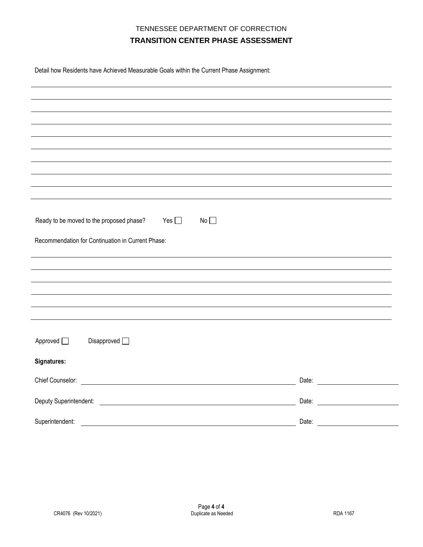Detail how Residents have Achieved Measurable Goals within the Current Phase Assignment:

| Ready to be moved to the proposed phase?<br>Yes $\square$<br>No                                                                                |                                                                                                                                                                                                                                |
|------------------------------------------------------------------------------------------------------------------------------------------------|--------------------------------------------------------------------------------------------------------------------------------------------------------------------------------------------------------------------------------|
|                                                                                                                                                |                                                                                                                                                                                                                                |
| Recommendation for Continuation in Current Phase:                                                                                              |                                                                                                                                                                                                                                |
|                                                                                                                                                |                                                                                                                                                                                                                                |
|                                                                                                                                                |                                                                                                                                                                                                                                |
|                                                                                                                                                |                                                                                                                                                                                                                                |
|                                                                                                                                                |                                                                                                                                                                                                                                |
|                                                                                                                                                |                                                                                                                                                                                                                                |
|                                                                                                                                                |                                                                                                                                                                                                                                |
|                                                                                                                                                |                                                                                                                                                                                                                                |
| Approved $\Box$<br>Disapproved $\Box$                                                                                                          |                                                                                                                                                                                                                                |
| Signatures:                                                                                                                                    |                                                                                                                                                                                                                                |
|                                                                                                                                                |                                                                                                                                                                                                                                |
| Chief Counselor:<br><u> 1980 - Jan Samuel Barbara, martin da shekara 1980 - An tsara 1980 - An tsara 1980 - An tsara 1980 - An tsara</u>       | Date: the contract of the contract of the contract of the contract of the contract of the contract of the contract of the contract of the contract of the contract of the contract of the contract of the contract of the cont |
| Deputy Superintendent:<br><u> 1989 - Jan James James James James James James James James James James James James James James James James J</u> | Date:                                                                                                                                                                                                                          |
|                                                                                                                                                |                                                                                                                                                                                                                                |
| Superintendent:                                                                                                                                | Date:                                                                                                                                                                                                                          |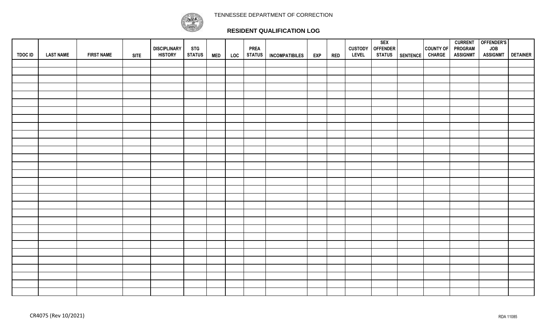## TENNESSEE DEPARTMENT OF CORRECTION



## **RESIDENT QUALIFICATION LOG**

| <b>TDOC ID</b> | <b>LAST NAME</b> | <b>FIRST NAME</b> | <b>SITE</b> | <b>DISCIPLINARY</b><br><b>HISTORY</b> | <b>STG</b><br><b>STATUS</b> | <b>MED</b> | LOC | <b>PREA</b><br><b>STATUS</b> | <b>INCOMPATIBILES</b> | <b>EXP</b> | <b>RED</b> | <b>LEVEL</b> | <b>SEX</b><br>CUSTODY OFFENDER<br><b>STATUS</b> | SENTENCE | COUNTY OF<br><b>CHARGE</b> | <b>PROGRAM</b><br><b>ASSIGNMT</b> | CURRENT OFFENDER'S<br><b>JOB</b><br><b>ASSIGNMT</b> | <b>DETAINER</b> |
|----------------|------------------|-------------------|-------------|---------------------------------------|-----------------------------|------------|-----|------------------------------|-----------------------|------------|------------|--------------|-------------------------------------------------|----------|----------------------------|-----------------------------------|-----------------------------------------------------|-----------------|
|                |                  |                   |             |                                       |                             |            |     |                              |                       |            |            |              |                                                 |          |                            |                                   |                                                     |                 |
|                |                  |                   |             |                                       |                             |            |     |                              |                       |            |            |              |                                                 |          |                            |                                   |                                                     |                 |
|                |                  |                   |             |                                       |                             |            |     |                              |                       |            |            |              |                                                 |          |                            |                                   |                                                     |                 |
|                |                  |                   |             |                                       |                             |            |     |                              |                       |            |            |              |                                                 |          |                            |                                   |                                                     |                 |
|                |                  |                   |             |                                       |                             |            |     |                              |                       |            |            |              |                                                 |          |                            |                                   |                                                     |                 |
|                |                  |                   |             |                                       |                             |            |     |                              |                       |            |            |              |                                                 |          |                            |                                   |                                                     |                 |
|                |                  |                   |             |                                       |                             |            |     |                              |                       |            |            |              |                                                 |          |                            |                                   |                                                     |                 |
|                |                  |                   |             |                                       |                             |            |     |                              |                       |            |            |              |                                                 |          |                            |                                   |                                                     |                 |
|                |                  |                   |             |                                       |                             |            |     |                              |                       |            |            |              |                                                 |          |                            |                                   |                                                     |                 |
|                |                  |                   |             |                                       |                             |            |     |                              |                       |            |            |              |                                                 |          |                            |                                   |                                                     |                 |
|                |                  |                   |             |                                       |                             |            |     |                              |                       |            |            |              |                                                 |          |                            |                                   |                                                     |                 |
|                |                  |                   |             |                                       |                             |            |     |                              |                       |            |            |              |                                                 |          |                            |                                   |                                                     |                 |
|                |                  |                   |             |                                       |                             |            |     |                              |                       |            |            |              |                                                 |          |                            |                                   |                                                     |                 |
|                |                  |                   |             |                                       |                             |            |     |                              |                       |            |            |              |                                                 |          |                            |                                   |                                                     |                 |
|                |                  |                   |             |                                       |                             |            |     |                              |                       |            |            |              |                                                 |          |                            |                                   |                                                     |                 |
|                |                  |                   |             |                                       |                             |            |     |                              |                       |            |            |              |                                                 |          |                            |                                   |                                                     |                 |
|                |                  |                   |             |                                       |                             |            |     |                              |                       |            |            |              |                                                 |          |                            |                                   |                                                     |                 |
|                |                  |                   |             |                                       |                             |            |     |                              |                       |            |            |              |                                                 |          |                            |                                   |                                                     |                 |
|                |                  |                   |             |                                       |                             |            |     |                              |                       |            |            |              |                                                 |          |                            |                                   |                                                     |                 |
|                |                  |                   |             |                                       |                             |            |     |                              |                       |            |            |              |                                                 |          |                            |                                   |                                                     |                 |
|                |                  |                   |             |                                       |                             |            |     |                              |                       |            |            |              |                                                 |          |                            |                                   |                                                     |                 |
|                |                  |                   |             |                                       |                             |            |     |                              |                       |            |            |              |                                                 |          |                            |                                   |                                                     |                 |
|                |                  |                   |             |                                       |                             |            |     |                              |                       |            |            |              |                                                 |          |                            |                                   |                                                     |                 |
|                |                  |                   |             |                                       |                             |            |     |                              |                       |            |            |              |                                                 |          |                            |                                   |                                                     |                 |
|                |                  |                   |             |                                       |                             |            |     |                              |                       |            |            |              |                                                 |          |                            |                                   |                                                     |                 |
|                |                  |                   |             |                                       |                             |            |     |                              |                       |            |            |              |                                                 |          |                            |                                   |                                                     |                 |
|                |                  |                   |             |                                       |                             |            |     |                              |                       |            |            |              |                                                 |          |                            |                                   |                                                     |                 |
|                |                  |                   |             |                                       |                             |            |     |                              |                       |            |            |              |                                                 |          |                            |                                   |                                                     |                 |
|                |                  |                   |             |                                       |                             |            |     |                              |                       |            |            |              |                                                 |          |                            |                                   |                                                     |                 |
|                |                  |                   |             |                                       |                             |            |     |                              |                       |            |            |              |                                                 |          |                            |                                   |                                                     |                 |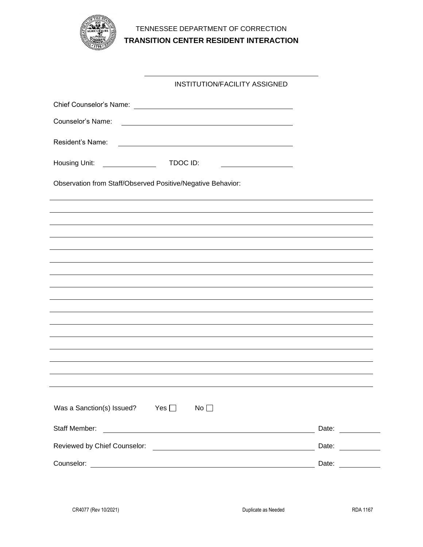

# TENNESSEE DEPARTMENT OF CORRECTION **TRANSITION CENTER RESIDENT INTERACTION**

|                                                                                                                                                                                                                                                                                                                                                                                                                      | <b>INSTITUTION/FACILITY ASSIGNED</b>                                                                                   |                   |
|----------------------------------------------------------------------------------------------------------------------------------------------------------------------------------------------------------------------------------------------------------------------------------------------------------------------------------------------------------------------------------------------------------------------|------------------------------------------------------------------------------------------------------------------------|-------------------|
|                                                                                                                                                                                                                                                                                                                                                                                                                      |                                                                                                                        |                   |
| Counselor's Name:                                                                                                                                                                                                                                                                                                                                                                                                    |                                                                                                                        |                   |
| Resident's Name:                                                                                                                                                                                                                                                                                                                                                                                                     | <u> 1980 - Johann Barbara, martxa amerikan bashkar (</u>                                                               |                   |
| Housing Unit:<br>$\begin{array}{c} \begin{array}{c} \begin{array}{c} \begin{array}{c} \end{array} \\ \begin{array}{c} \end{array} \end{array} & \begin{array}{c} \begin{array}{c} \end{array} \\ \begin{array}{c} \end{array} \end{array} & \begin{array}{c} \end{array} \end{array} & \begin{array}{c} \begin{array}{c} \end{array} \end{array} & \begin{array}{c} \end{array} \end{array} \end{array} \end{array}$ | TDOC ID:<br><u> 1989 - Johann Barbara, martin a</u>                                                                    |                   |
| Observation from Staff/Observed Positive/Negative Behavior:                                                                                                                                                                                                                                                                                                                                                          |                                                                                                                        |                   |
|                                                                                                                                                                                                                                                                                                                                                                                                                      |                                                                                                                        |                   |
|                                                                                                                                                                                                                                                                                                                                                                                                                      |                                                                                                                        |                   |
|                                                                                                                                                                                                                                                                                                                                                                                                                      |                                                                                                                        |                   |
|                                                                                                                                                                                                                                                                                                                                                                                                                      |                                                                                                                        |                   |
|                                                                                                                                                                                                                                                                                                                                                                                                                      |                                                                                                                        |                   |
|                                                                                                                                                                                                                                                                                                                                                                                                                      |                                                                                                                        |                   |
|                                                                                                                                                                                                                                                                                                                                                                                                                      |                                                                                                                        |                   |
|                                                                                                                                                                                                                                                                                                                                                                                                                      |                                                                                                                        |                   |
|                                                                                                                                                                                                                                                                                                                                                                                                                      |                                                                                                                        |                   |
|                                                                                                                                                                                                                                                                                                                                                                                                                      |                                                                                                                        |                   |
|                                                                                                                                                                                                                                                                                                                                                                                                                      |                                                                                                                        |                   |
| Was a Sanction(s) Issued?                                                                                                                                                                                                                                                                                                                                                                                            | Yes $\square$<br>No                                                                                                    |                   |
| Staff Member:                                                                                                                                                                                                                                                                                                                                                                                                        |                                                                                                                        | Date: ___________ |
| Reviewed by Chief Counselor:                                                                                                                                                                                                                                                                                                                                                                                         | <u> 1989 - Johann Barbara, martin amerikan basal dan berasal dan berasal dalam basal dalam basal dalam basal dala</u>  | Date:             |
| Counselor:                                                                                                                                                                                                                                                                                                                                                                                                           | <u> 1989 - Johann Stoff, deutscher Stoffen und der Stoffen und der Stoffen und der Stoffen und der Stoffen und der</u> | Date:             |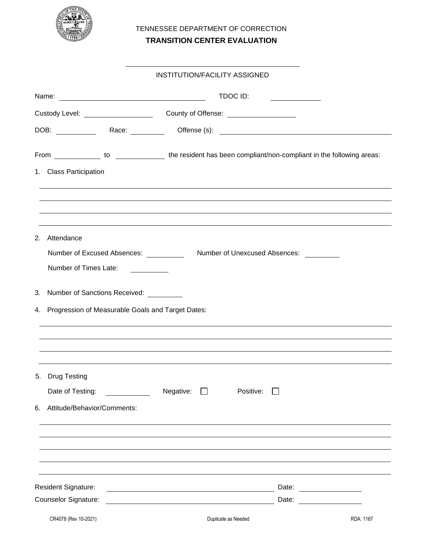

# TENNESSEE DEPARTMENT OF CORRECTION **TRANSITION CENTER EVALUATION**

#### INSTITUTION/FACILITY ASSIGNED

|                                                                                                                | TDOC ID:                         |                                                                                                                                                                                                                                |  |  |  |  |  |
|----------------------------------------------------------------------------------------------------------------|----------------------------------|--------------------------------------------------------------------------------------------------------------------------------------------------------------------------------------------------------------------------------|--|--|--|--|--|
|                                                                                                                |                                  |                                                                                                                                                                                                                                |  |  |  |  |  |
|                                                                                                                |                                  |                                                                                                                                                                                                                                |  |  |  |  |  |
| From _____________ to __________________ the resident has been compliant/non-compliant in the following areas: |                                  |                                                                                                                                                                                                                                |  |  |  |  |  |
| 1. Class Participation                                                                                         |                                  |                                                                                                                                                                                                                                |  |  |  |  |  |
|                                                                                                                |                                  |                                                                                                                                                                                                                                |  |  |  |  |  |
|                                                                                                                |                                  |                                                                                                                                                                                                                                |  |  |  |  |  |
| 2. Attendance                                                                                                  |                                  |                                                                                                                                                                                                                                |  |  |  |  |  |
| Number of Excused Absences:                                                                                    | Number of Unexcused Absences:    |                                                                                                                                                                                                                                |  |  |  |  |  |
| Number of Times Late:                                                                                          |                                  |                                                                                                                                                                                                                                |  |  |  |  |  |
| 3. Number of Sanctions Received: _________                                                                     |                                  |                                                                                                                                                                                                                                |  |  |  |  |  |
| 4. Progression of Measurable Goals and Target Dates:                                                           |                                  |                                                                                                                                                                                                                                |  |  |  |  |  |
|                                                                                                                |                                  |                                                                                                                                                                                                                                |  |  |  |  |  |
|                                                                                                                |                                  |                                                                                                                                                                                                                                |  |  |  |  |  |
|                                                                                                                |                                  |                                                                                                                                                                                                                                |  |  |  |  |  |
| 5. Drug Testing                                                                                                |                                  |                                                                                                                                                                                                                                |  |  |  |  |  |
| Date of Testing:                                                                                               | Negative:<br>Positive:<br>$\Box$ |                                                                                                                                                                                                                                |  |  |  |  |  |
| Attitude/Behavior/Comments:<br>6.                                                                              |                                  |                                                                                                                                                                                                                                |  |  |  |  |  |
|                                                                                                                |                                  |                                                                                                                                                                                                                                |  |  |  |  |  |
|                                                                                                                |                                  |                                                                                                                                                                                                                                |  |  |  |  |  |
|                                                                                                                |                                  |                                                                                                                                                                                                                                |  |  |  |  |  |
| Resident Signature:                                                                                            |                                  | Date: ________________                                                                                                                                                                                                         |  |  |  |  |  |
| <b>Counselor Signature:</b>                                                                                    |                                  | Date: the contract of the contract of the contract of the contract of the contract of the contract of the contract of the contract of the contract of the contract of the contract of the contract of the contract of the cont |  |  |  |  |  |
| CR4078 (Rev 10-2021)                                                                                           | Duplicate as Needed              | RDA: 1167                                                                                                                                                                                                                      |  |  |  |  |  |